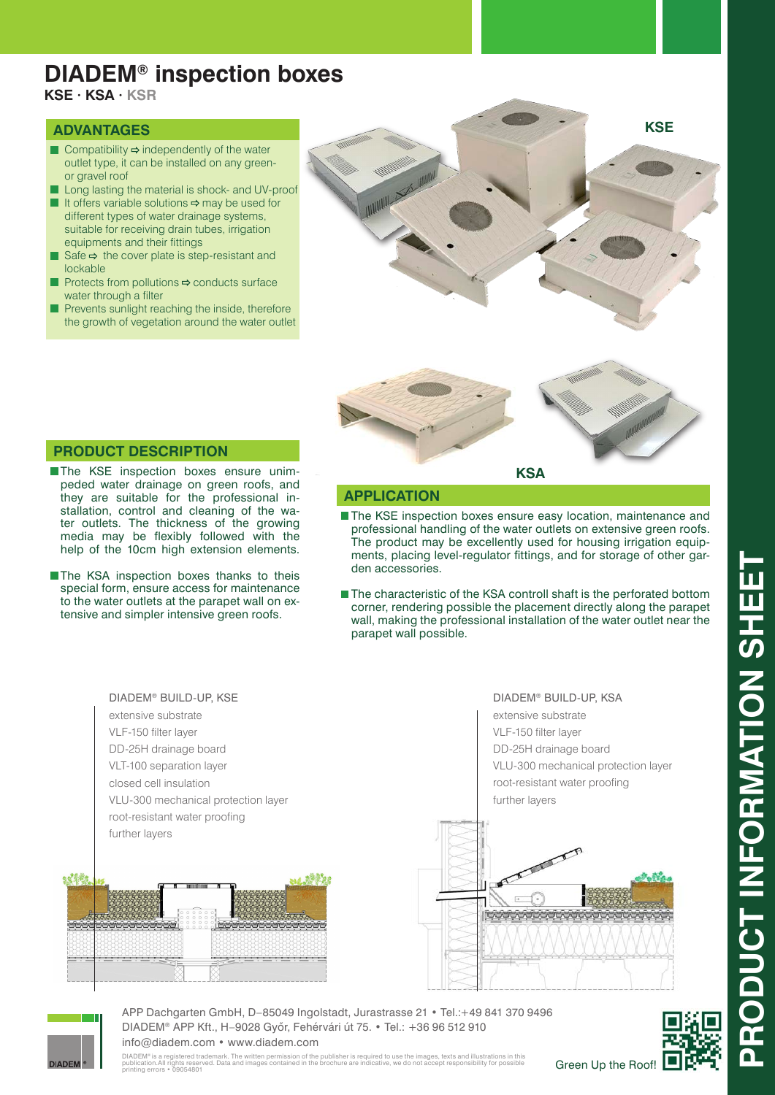## **DIADEM® inspection boxes**

**KSE · KSA · KSR**

#### **ADVANTAGES**

- Compatibility  $\Rightarrow$  independently of the water outlet type, it can be installed on any greenor gravel roof
- Long lasting the material is shock- and UV-proof
- If it offers variable solutions  $\Rightarrow$  may be used for different types of water drainage systems, suitable for receiving drain tubes, irrigation equipments and their fittings
- Safe  $\Rightarrow$  the cover plate is step-resistant and lockable
- Protects from pollutions  $\Rightarrow$  conducts surface water through a filter
- Prevents sunlight reaching the inside, therefore the growth of vegetation around the water outlet





### **PRODUCT DESCRIPTION**

- **The KSE inspection boxes ensure unim**peded water drainage on green roofs, and they are suitable for the professional installation, control and cleaning of the water outlets. The thickness of the growing media may be flexibly followed with the help of the 10cm high extension elements.
- The KSA inspection boxes thanks to theis special form, ensure access for maintenance to the water outlets at the parapet wall on extensive and simpler intensive green roofs.

**APPLICATION**

- **The KSE inspection boxes ensure easy location, maintenance and** professional handling of the water outlets on extensive green roofs. The product may be excellently used for housing irrigation equipments, placing level-regulator fittings, and for storage of other garden accessories.
- The characteristic of the KSA controll shaft is the perforated bottom corner, rendering possible the placement directly along the parapet wall, making the professional installation of the water outlet near the parapet wall possible.



extensive substrate

VLF-150 filter layer DD-25H drainage board VLU-300 mechanical protection layer root-resistant water proofing further layers





APP Dachgarten GmbH, D–85049 Ingolstadt, Jurastrasse 21 • Tel.:+49 841 370 9496 DIADEM® APP Kft., H–9028 Gyôr, Fehérvári út 75. • Tel.: +36 96 512 910 info@diadem.com • www.diadem.com

DIADEM® is a registered trademark. The written permission of the publisher is required to use the images, texts and illustrations in this<br>publication.All rights reserved. Data and images contained in the brochure are indic